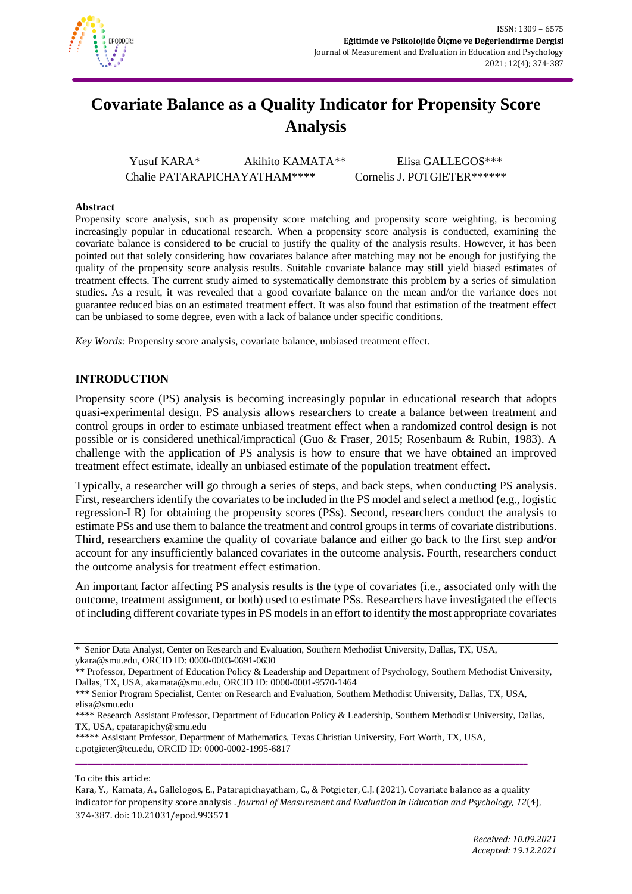

# **Covariate Balance as a Quality Indicator for Propensity Score Analysis**

Yusuf KARA\* Akihito KAMATA\*\* Elisa GALLEGOS\*\*\* Chalie PATARAPICHAYATHAM\*\*\*\* Cornelis J. POTGIETER\*\*\*\*\*\*

#### **Abstract**

Propensity score analysis, such as propensity score matching and propensity score weighting, is becoming increasingly popular in educational research. When a propensity score analysis is conducted, examining the covariate balance is considered to be crucial to justify the quality of the analysis results. However, it has been pointed out that solely considering how covariates balance after matching may not be enough for justifying the quality of the propensity score analysis results. Suitable covariate balance may still yield biased estimates of treatment effects. The current study aimed to systematically demonstrate this problem by a series of simulation studies. As a result, it was revealed that a good covariate balance on the mean and/or the variance does not guarantee reduced bias on an estimated treatment effect. It was also found that estimation of the treatment effect can be unbiased to some degree, even with a lack of balance under specific conditions.

*Key Words:* Propensity score analysis, covariate balance, unbiased treatment effect.

## **INTRODUCTION**

Propensity score (PS) analysis is becoming increasingly popular in educational research that adopts quasi-experimental design. PS analysis allows researchers to create a balance between treatment and control groups in order to estimate unbiased treatment effect when a randomized control design is not possible or is considered unethical/impractical (Guo & Fraser, 2015; Rosenbaum & Rubin, 1983). A challenge with the application of PS analysis is how to ensure that we have obtained an improved treatment effect estimate, ideally an unbiased estimate of the population treatment effect.

Typically, a researcher will go through a series of steps, and back steps, when conducting PS analysis. First, researchers identify the covariates to be included in the PS model and select a method (e.g., logistic regression-LR) for obtaining the propensity scores (PSs). Second, researchers conduct the analysis to estimate PSs and use them to balance the treatment and control groups in terms of covariate distributions. Third, researchers examine the quality of covariate balance and either go back to the first step and/or account for any insufficiently balanced covariates in the outcome analysis. Fourth, researchers conduct the outcome analysis for treatment effect estimation.

An important factor affecting PS analysis results is the type of covariates (i.e., associated only with the outcome, treatment assignment, or both) used to estimate PSs. Researchers have investigated the effects of including different covariate types in PS models in an effort to identify the most appropriate covariates

<sup>\*</sup> Senior Data Analyst, Center on Research and Evaluation, Southern Methodist University, Dallas, TX, USA, [ykara@smu.edu,](mailto:ykara@smu.edu) ORCID ID: 0000-0003-0691-0630

<sup>\*\*</sup> Professor, Department of Education Policy & Leadership and Department of Psychology, Southern Methodist University, Dallas, TX, USA[, akamata@smu.edu,](mailto:akamata@smu.edu) ORCID ID: 0000-0001-9570-1464

<sup>\*\*\*</sup> Senior Program Specialist, Center on Research and Evaluation, Southern Methodist University, Dallas, TX, USA, [elisa@smu.edu](mailto:elisa@smu.edu)

<sup>\*\*\*\*</sup> Research Assistant Professor, Department of Education Policy & Leadership, Southern Methodist University, Dallas, TX, USA, [cpatarapichy@smu.edu](mailto:cpatarapichy@smu.edu)

<sup>\*\*\*\*\*</sup> Assistant Professor, Department of Mathematics, Texas Christian University, Fort Worth, TX, USA, [c.potgieter@tcu.edu,](mailto:c.potgieter@tcu.edu) ORCID ID: 0000-0002-1995-6817

To cite this article:

Kara, Y., Kamata, A., Gallelogos, E., Patarapichayatham, C., & Potgieter, C.J. (2021). Covariate balance as a quality indicator for propensity score analysis . *Journal of Measurement and Evaluation in Education and Psychology, 12*(4), 374-387. doi: 10.21031/epod.993571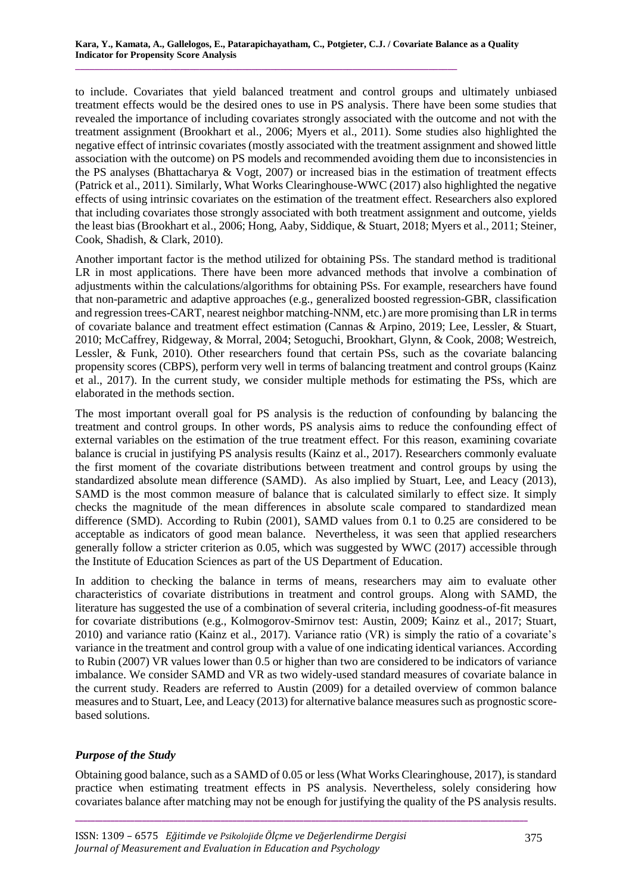to include. Covariates that yield balanced treatment and control groups and ultimately unbiased treatment effects would be the desired ones to use in PS analysis. There have been some studies that revealed the importance of including covariates strongly associated with the outcome and not with the treatment assignment (Brookhart et al., 2006; Myers et al., 2011). Some studies also highlighted the negative effect of intrinsic covariates (mostly associated with the treatment assignment and showed little association with the outcome) on PS models and recommended avoiding them due to inconsistencies in the PS analyses (Bhattacharya & Vogt, 2007) or increased bias in the estimation of treatment effects (Patrick et al., 2011). Similarly, What Works Clearinghouse-WWC (2017) also highlighted the negative effects of using intrinsic covariates on the estimation of the treatment effect. Researchers also explored that including covariates those strongly associated with both treatment assignment and outcome, yields the least bias (Brookhart et al., 2006; Hong, Aaby, Siddique, & Stuart, 2018; Myers et al., 2011; Steiner, Cook, Shadish, & Clark, 2010).

Another important factor is the method utilized for obtaining PSs. The standard method is traditional LR in most applications. There have been more advanced methods that involve a combination of adjustments within the calculations/algorithms for obtaining PSs. For example, researchers have found that non-parametric and adaptive approaches (e.g., generalized boosted regression-GBR, classification and regression trees-CART, nearest neighbor matching-NNM, etc.) are more promising than LR in terms of covariate balance and treatment effect estimation (Cannas & Arpino, 2019; Lee, Lessler, & Stuart, 2010; McCaffrey, Ridgeway, & Morral, 2004; Setoguchi, Brookhart, Glynn, & Cook, 2008; Westreich, Lessler, & Funk, 2010). Other researchers found that certain PSs, such as the covariate balancing propensity scores (CBPS), perform very well in terms of balancing treatment and control groups (Kainz et al., 2017). In the current study, we consider multiple methods for estimating the PSs, which are elaborated in the methods section.

The most important overall goal for PS analysis is the reduction of confounding by balancing the treatment and control groups. In other words, PS analysis aims to reduce the confounding effect of external variables on the estimation of the true treatment effect. For this reason, examining covariate balance is crucial in justifying PS analysis results (Kainz et al., 2017). Researchers commonly evaluate the first moment of the covariate distributions between treatment and control groups by using the standardized absolute mean difference (SAMD). As also implied by Stuart, Lee, and Leacy (2013), SAMD is the most common measure of balance that is calculated similarly to effect size. It simply checks the magnitude of the mean differences in absolute scale compared to standardized mean difference (SMD). According to Rubin (2001), SAMD values from 0.1 to 0.25 are considered to be acceptable as indicators of good mean balance. Nevertheless, it was seen that applied researchers generally follow a stricter criterion as 0.05, which was suggested by WWC (2017) accessible through the Institute of Education Sciences as part of the US Department of Education.

In addition to checking the balance in terms of means, researchers may aim to evaluate other characteristics of covariate distributions in treatment and control groups. Along with SAMD, the literature has suggested the use of a combination of several criteria, including goodness-of-fit measures for covariate distributions (e.g., Kolmogorov-Smirnov test: Austin, 2009; Kainz et al., 2017; Stuart, 2010) and variance ratio (Kainz et al., 2017). Variance ratio (VR) is simply the ratio of a covariate's variance in the treatment and control group with a value of one indicating identical variances. According to Rubin (2007) VR values lower than 0.5 or higher than two are considered to be indicators of variance imbalance. We consider SAMD and VR as two widely-used standard measures of covariate balance in the current study. Readers are referred to Austin (2009) for a detailed overview of common balance measures and to Stuart, Lee, and Leacy (2013) for alternative balance measures such as prognostic scorebased solutions.

# *Purpose of the Study*

Obtaining good balance, such as a SAMD of 0.05 or less (What Works Clearinghouse, 2017), is standard practice when estimating treatment effects in PS analysis. Nevertheless, solely considering how covariates balance after matching may not be enough for justifying the quality of the PS analysis results.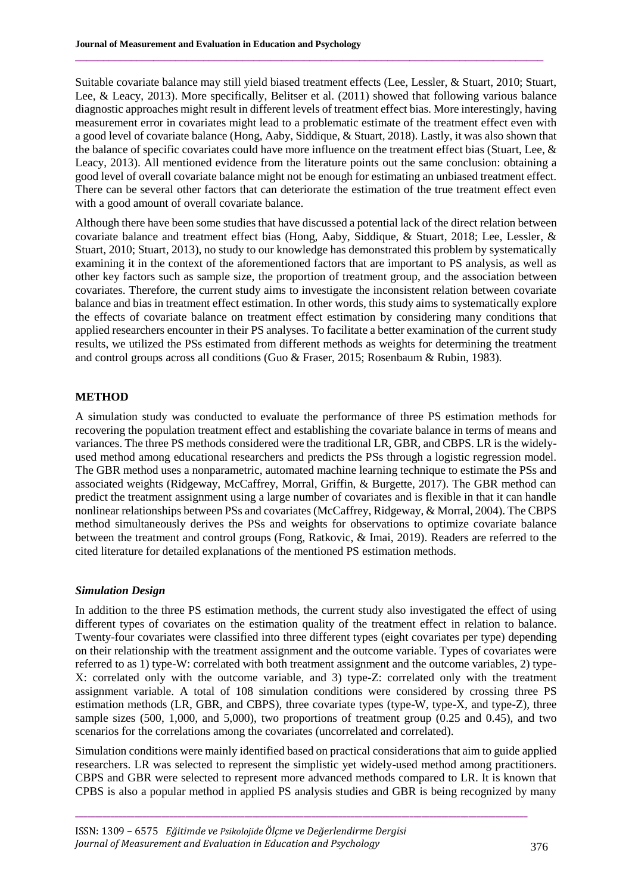Suitable covariate balance may still yield biased treatment effects (Lee, Lessler, & Stuart, 2010; Stuart, Lee, & Leacy, 2013). More specifically, Belitser et al. (2011) showed that following various balance diagnostic approaches might result in different levels of treatment effect bias. More interestingly, having measurement error in covariates might lead to a problematic estimate of the treatment effect even with a good level of covariate balance (Hong, Aaby, Siddique, & Stuart, 2018). Lastly, it was also shown that the balance of specific covariates could have more influence on the treatment effect bias (Stuart, Lee, & Leacy, 2013). All mentioned evidence from the literature points out the same conclusion: obtaining a good level of overall covariate balance might not be enough for estimating an unbiased treatment effect. There can be several other factors that can deteriorate the estimation of the true treatment effect even with a good amount of overall covariate balance.

 $\mathcal{L}_\mathcal{L} = \{ \mathcal{L}_\mathcal{L} = \{ \mathcal{L}_\mathcal{L} = \{ \mathcal{L}_\mathcal{L} = \{ \mathcal{L}_\mathcal{L} = \{ \mathcal{L}_\mathcal{L} = \{ \mathcal{L}_\mathcal{L} = \{ \mathcal{L}_\mathcal{L} = \{ \mathcal{L}_\mathcal{L} = \{ \mathcal{L}_\mathcal{L} = \{ \mathcal{L}_\mathcal{L} = \{ \mathcal{L}_\mathcal{L} = \{ \mathcal{L}_\mathcal{L} = \{ \mathcal{L}_\mathcal{L} = \{ \mathcal{L}_\mathcal{$ 

Although there have been some studies that have discussed a potential lack of the direct relation between covariate balance and treatment effect bias (Hong, Aaby, Siddique, & Stuart, 2018; Lee, Lessler, & Stuart, 2010; Stuart, 2013), no study to our knowledge has demonstrated this problem by systematically examining it in the context of the aforementioned factors that are important to PS analysis, as well as other key factors such as sample size, the proportion of treatment group, and the association between covariates. Therefore, the current study aims to investigate the inconsistent relation between covariate balance and bias in treatment effect estimation. In other words, this study aims to systematically explore the effects of covariate balance on treatment effect estimation by considering many conditions that applied researchers encounter in their PS analyses. To facilitate a better examination of the current study results, we utilized the PSs estimated from different methods as weights for determining the treatment and control groups across all conditions (Guo & Fraser, 2015; Rosenbaum & Rubin, 1983).

## **METHOD**

A simulation study was conducted to evaluate the performance of three PS estimation methods for recovering the population treatment effect and establishing the covariate balance in terms of means and variances. The three PS methods considered were the traditional LR, GBR, and CBPS. LR is the widelyused method among educational researchers and predicts the PSs through a logistic regression model. The GBR method uses a nonparametric, automated machine learning technique to estimate the PSs and associated weights (Ridgeway, McCaffrey, Morral, Griffin, & Burgette, 2017). The GBR method can predict the treatment assignment using a large number of covariates and is flexible in that it can handle nonlinear relationships between PSs and covariates (McCaffrey, Ridgeway, & Morral, 2004). The CBPS method simultaneously derives the PSs and weights for observations to optimize covariate balance between the treatment and control groups (Fong, Ratkovic, & Imai, 2019). Readers are referred to the cited literature for detailed explanations of the mentioned PS estimation methods.

#### *Simulation Design*

In addition to the three PS estimation methods, the current study also investigated the effect of using different types of covariates on the estimation quality of the treatment effect in relation to balance. Twenty-four covariates were classified into three different types (eight covariates per type) depending on their relationship with the treatment assignment and the outcome variable. Types of covariates were referred to as 1) type-W: correlated with both treatment assignment and the outcome variables, 2) type-X: correlated only with the outcome variable, and 3) type-Z: correlated only with the treatment assignment variable. A total of 108 simulation conditions were considered by crossing three PS estimation methods (LR, GBR, and CBPS), three covariate types (type-W, type-X, and type-Z), three sample sizes (500, 1,000, and 5,000), two proportions of treatment group (0.25 and 0.45), and two scenarios for the correlations among the covariates (uncorrelated and correlated).

Simulation conditions were mainly identified based on practical considerations that aim to guide applied researchers. LR was selected to represent the simplistic yet widely-used method among practitioners. CBPS and GBR were selected to represent more advanced methods compared to LR. It is known that CPBS is also a popular method in applied PS analysis studies and GBR is being recognized by many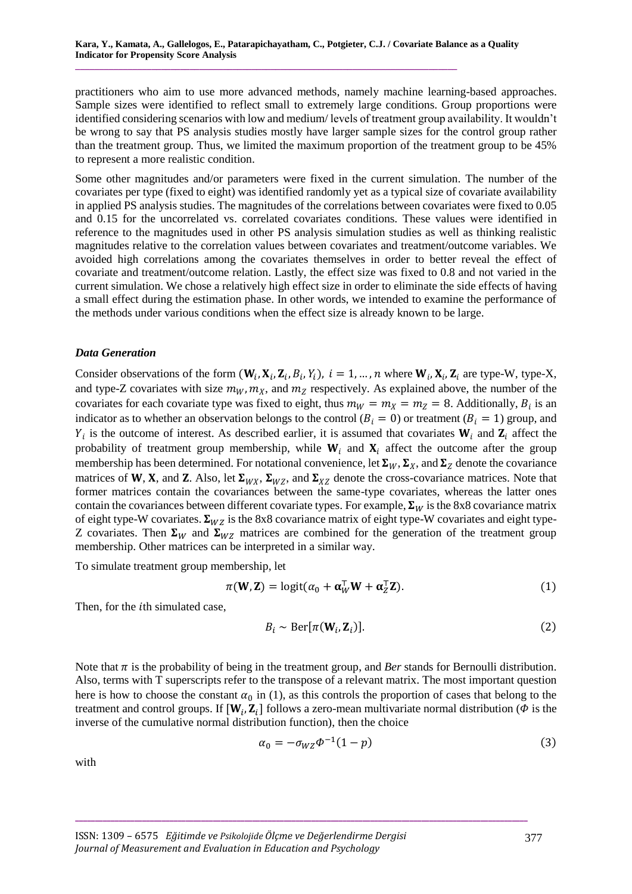practitioners who aim to use more advanced methods, namely machine learning-based approaches. Sample sizes were identified to reflect small to extremely large conditions. Group proportions were identified considering scenarios with low and medium/ levels of treatment group availability. It wouldn't be wrong to say that PS analysis studies mostly have larger sample sizes for the control group rather than the treatment group. Thus, we limited the maximum proportion of the treatment group to be 45% to represent a more realistic condition.

Some other magnitudes and/or parameters were fixed in the current simulation. The number of the covariates per type (fixed to eight) was identified randomly yet as a typical size of covariate availability in applied PS analysis studies. The magnitudes of the correlations between covariates were fixed to 0.05 and 0.15 for the uncorrelated vs. correlated covariates conditions. These values were identified in reference to the magnitudes used in other PS analysis simulation studies as well as thinking realistic magnitudes relative to the correlation values between covariates and treatment/outcome variables. We avoided high correlations among the covariates themselves in order to better reveal the effect of covariate and treatment/outcome relation. Lastly, the effect size was fixed to 0.8 and not varied in the current simulation. We chose a relatively high effect size in order to eliminate the side effects of having a small effect during the estimation phase. In other words, we intended to examine the performance of the methods under various conditions when the effect size is already known to be large.

## *Data Generation*

Consider observations of the form  $(W_i, X_i, Z_i, B_i, Y_i)$ ,  $i = 1, ..., n$  where  $W_i, X_i, Z_i$  are type-W, type-X, and type-Z covariates with size  $m_W, m_X$ , and  $m_Z$  respectively. As explained above, the number of the covariates for each covariate type was fixed to eight, thus  $m_W = m_X = m_Z = 8$ . Additionally,  $B_i$  is an indicator as to whether an observation belongs to the control ( $B_i = 0$ ) or treatment ( $B_i = 1$ ) group, and  $Y_i$  is the outcome of interest. As described earlier, it is assumed that covariates  $W_i$  and  $Z_i$  affect the probability of treatment group membership, while  $W_i$  and  $X_i$  affect the outcome after the group membership has been determined. For notational convenience, let  $\Sigma_W$ ,  $\Sigma_X$ , and  $\Sigma_Z$  denote the covariance matrices of W, X, and Z. Also, let  $\Sigma_{WX}$ ,  $\Sigma_{WZ}$ , and  $\Sigma_{XZ}$  denote the cross-covariance matrices. Note that former matrices contain the covariances between the same-type covariates, whereas the latter ones contain the covariances between different covariate types. For example,  $\Sigma_W$  is the 8x8 covariance matrix of eight type-W covariates.  $\Sigma_{WZ}$  is the 8x8 covariance matrix of eight type-W covariates and eight type-Z covariates. Then  $\Sigma_W$  and  $\Sigma_{WZ}$  matrices are combined for the generation of the treatment group membership. Other matrices can be interpreted in a similar way.

To simulate treatment group membership, let

$$
\pi(\mathbf{W}, \mathbf{Z}) = \text{logit}(\alpha_0 + \alpha_W^{\top} \mathbf{W} + \alpha_Z^{\top} \mathbf{Z}).
$$
\n(1)

Then, for the *i*th simulated case,

$$
B_i \sim \text{Ber}[\pi(\mathbf{W}_i, \mathbf{Z}_i)].
$$
\n(2)

Note that  $\pi$  is the probability of being in the treatment group, and *Ber* stands for Bernoulli distribution. Also, terms with T superscripts refer to the transpose of a relevant matrix. The most important question here is how to choose the constant  $\alpha_0$  in (1), as this controls the proportion of cases that belong to the treatment and control groups. If  $[W_i, Z_i]$  follows a zero-mean multivariate normal distribution ( $\phi$  is the inverse of the cumulative normal distribution function), then the choice

**\_\_\_\_\_\_\_\_\_\_\_\_\_\_\_\_\_\_\_\_\_\_\_\_\_\_\_\_\_\_\_\_\_\_\_\_\_\_\_\_\_\_\_\_\_\_\_\_\_\_\_\_\_\_\_\_\_\_\_\_\_\_\_\_\_\_\_\_\_\_\_\_\_\_\_\_\_\_\_\_\_\_\_\_\_\_\_\_\_\_\_\_\_\_\_\_\_\_\_\_\_\_\_\_\_\_\_\_\_\_\_\_\_\_\_**

$$
\alpha_0 = -\sigma_{WZ} \Phi^{-1} (1 - p) \tag{3}
$$

with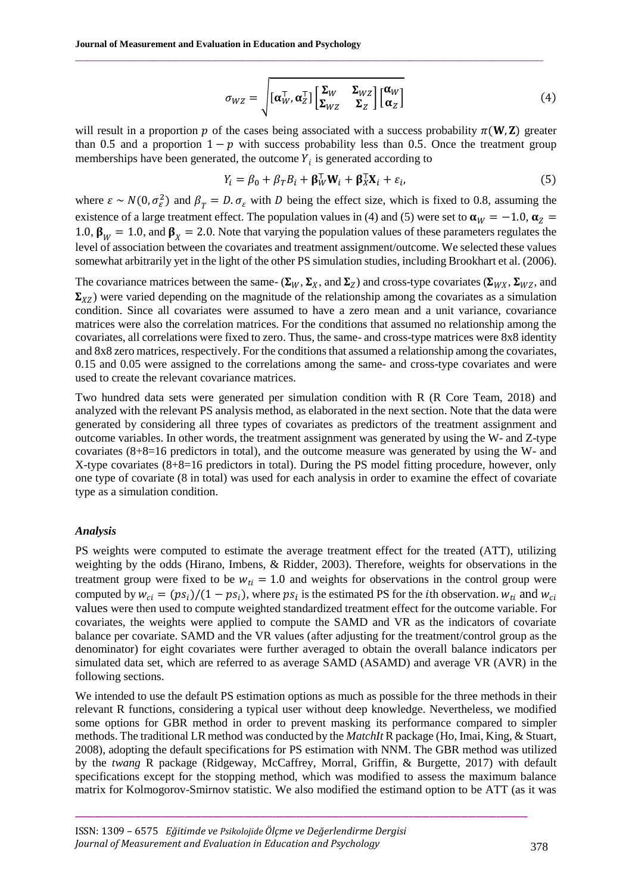$$
\sigma_{WZ} = \sqrt{\left[\alpha_{W}^{\top}, \alpha_{Z}^{\top}\right] \begin{bmatrix} \Sigma_{W} & \Sigma_{WZ} \\ \Sigma_{WZ} & \Sigma_{Z} \end{bmatrix} \begin{bmatrix} \alpha_{W} \\ \alpha_{Z} \end{bmatrix}}
$$
(4)

will result in a proportion p of the cases being associated with a success probability  $\pi(\mathbf{W}, \mathbf{Z})$  greater than 0.5 and a proportion  $1 - p$  with success probability less than 0.5. Once the treatment group memberships have been generated, the outcome  $Y_i$  is generated according to

 $\mathcal{L}_\mathcal{L} = \{ \mathcal{L}_\mathcal{L} = \{ \mathcal{L}_\mathcal{L} = \{ \mathcal{L}_\mathcal{L} = \{ \mathcal{L}_\mathcal{L} = \{ \mathcal{L}_\mathcal{L} = \{ \mathcal{L}_\mathcal{L} = \{ \mathcal{L}_\mathcal{L} = \{ \mathcal{L}_\mathcal{L} = \{ \mathcal{L}_\mathcal{L} = \{ \mathcal{L}_\mathcal{L} = \{ \mathcal{L}_\mathcal{L} = \{ \mathcal{L}_\mathcal{L} = \{ \mathcal{L}_\mathcal{L} = \{ \mathcal{L}_\mathcal{$ 

$$
Y_i = \beta_0 + \beta_T B_i + \beta_W^{\top} W_i + \beta_X^{\top} X_i + \varepsilon_i, \tag{5}
$$

where  $\varepsilon \sim N(0, \sigma_{\varepsilon}^2)$  and  $\beta_T = D \cdot \sigma_{\varepsilon}$  with D being the effect size, which is fixed to 0.8, assuming the existence of a large treatment effect. The population values in (4) and (5) were set to  $\alpha_W = -1.0$ ,  $\alpha_Z =$ 1.0,  $\beta_W = 1.0$ , and  $\beta_X = 2.0$ . Note that varying the population values of these parameters regulates the level of association between the covariates and treatment assignment/outcome. We selected these values somewhat arbitrarily yet in the light of the other PS simulation studies, including Brookhart et al. (2006).

The covariance matrices between the same-  $(\Sigma_W, \Sigma_X,$  and  $\Sigma_Z)$  and cross-type covariates  $(\Sigma_{WX}, \Sigma_{WZ},$  and  $\Sigma_{YZ}$ ) were varied depending on the magnitude of the relationship among the covariates as a simulation condition. Since all covariates were assumed to have a zero mean and a unit variance, covariance matrices were also the correlation matrices. For the conditions that assumed no relationship among the covariates, all correlations were fixed to zero. Thus, the same- and cross-type matrices were 8x8 identity and 8x8 zero matrices, respectively. For the conditions that assumed a relationship among the covariates, 0.15 and 0.05 were assigned to the correlations among the same- and cross-type covariates and were used to create the relevant covariance matrices.

Two hundred data sets were generated per simulation condition with R (R Core Team, 2018) and analyzed with the relevant PS analysis method, as elaborated in the next section. Note that the data were generated by considering all three types of covariates as predictors of the treatment assignment and outcome variables. In other words, the treatment assignment was generated by using the W- and Z-type covariates (8+8=16 predictors in total), and the outcome measure was generated by using the W- and X-type covariates (8+8=16 predictors in total). During the PS model fitting procedure, however, only one type of covariate (8 in total) was used for each analysis in order to examine the effect of covariate type as a simulation condition.

#### *Analysis*

PS weights were computed to estimate the average treatment effect for the treated (ATT), utilizing weighting by the odds (Hirano, Imbens, & Ridder, 2003). Therefore, weights for observations in the treatment group were fixed to be  $w_{ti} = 1.0$  and weights for observations in the control group were computed by  $w_{ci} = (ps_i)/(1 - ps_i)$ , where  $ps_i$  is the estimated PS for the *i*th observation.  $w_{ti}$  and  $w_{ci}$ values were then used to compute weighted standardized treatment effect for the outcome variable. For covariates, the weights were applied to compute the SAMD and VR as the indicators of covariate balance per covariate. SAMD and the VR values (after adjusting for the treatment/control group as the denominator) for eight covariates were further averaged to obtain the overall balance indicators per simulated data set, which are referred to as average SAMD (ASAMD) and average VR (AVR) in the following sections.

We intended to use the default PS estimation options as much as possible for the three methods in their relevant R functions, considering a typical user without deep knowledge. Nevertheless, we modified some options for GBR method in order to prevent masking its performance compared to simpler methods. The traditional LR method was conducted by the *MatchIt* R package (Ho, Imai, King, & Stuart, 2008), adopting the default specifications for PS estimation with NNM. The GBR method was utilized by the *twang* R package (Ridgeway, McCaffrey, Morral, Griffin, & Burgette, 2017) with default specifications except for the stopping method, which was modified to assess the maximum balance matrix for Kolmogorov-Smirnov statistic. We also modified the estimand option to be ATT (as it was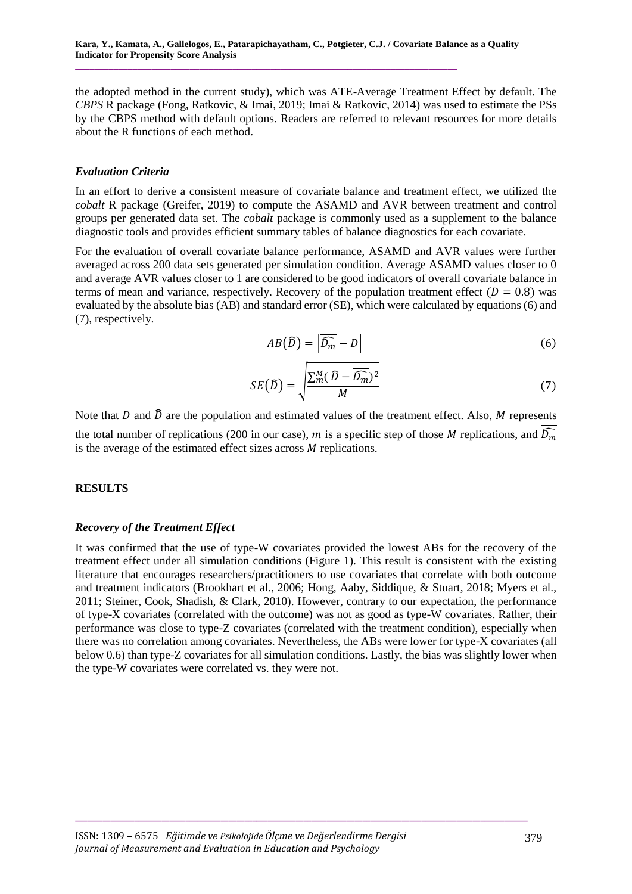the adopted method in the current study), which was ATE-Average Treatment Effect by default. The *CBPS* R package (Fong, Ratkovic, & Imai, 2019; Imai & Ratkovic, 2014) was used to estimate the PSs by the CBPS method with default options. Readers are referred to relevant resources for more details about the R functions of each method.

## *Evaluation Criteria*

In an effort to derive a consistent measure of covariate balance and treatment effect, we utilized the *cobalt* R package (Greifer, 2019) to compute the ASAMD and AVR between treatment and control groups per generated data set. The *cobalt* package is commonly used as a supplement to the balance diagnostic tools and provides efficient summary tables of balance diagnostics for each covariate.

For the evaluation of overall covariate balance performance, ASAMD and AVR values were further averaged across 200 data sets generated per simulation condition. Average ASAMD values closer to 0 and average AVR values closer to 1 are considered to be good indicators of overall covariate balance in terms of mean and variance, respectively. Recovery of the population treatment effect ( $D = 0.8$ ) was evaluated by the absolute bias (AB) and standard error (SE), which were calculated by equations (6) and (7), respectively.

$$
AB(\widehat{D}) = |\overline{\widehat{D_m}} - D| \tag{6}
$$

$$
SE(\widehat{D}) = \sqrt{\frac{\sum_{m}^{M} (\widehat{D} - \overline{\widehat{D_{m}}})^{2}}{M}}
$$
\n(7)

Note that  $D$  and  $\widehat{D}$  are the population and estimated values of the treatment effect. Also, M represents the total number of replications (200 in our case), m is a specific step of those M replications, and  $\widehat{D_m}$ is the average of the estimated effect sizes across  $M$  replications.

# **RESULTS**

# *Recovery of the Treatment Effect*

It was confirmed that the use of type-W covariates provided the lowest ABs for the recovery of the treatment effect under all simulation conditions (Figure 1). This result is consistent with the existing literature that encourages researchers/practitioners to use covariates that correlate with both outcome and treatment indicators (Brookhart et al., 2006; Hong, Aaby, Siddique, & Stuart, 2018; Myers et al., 2011; Steiner, Cook, Shadish, & Clark, 2010). However, contrary to our expectation, the performance of type-X covariates (correlated with the outcome) was not as good as type-W covariates. Rather, their performance was close to type-Z covariates (correlated with the treatment condition), especially when there was no correlation among covariates. Nevertheless, the ABs were lower for type-X covariates (all below 0.6) than type-Z covariates for all simulation conditions. Lastly, the bias was slightly lower when the type-W covariates were correlated vs. they were not.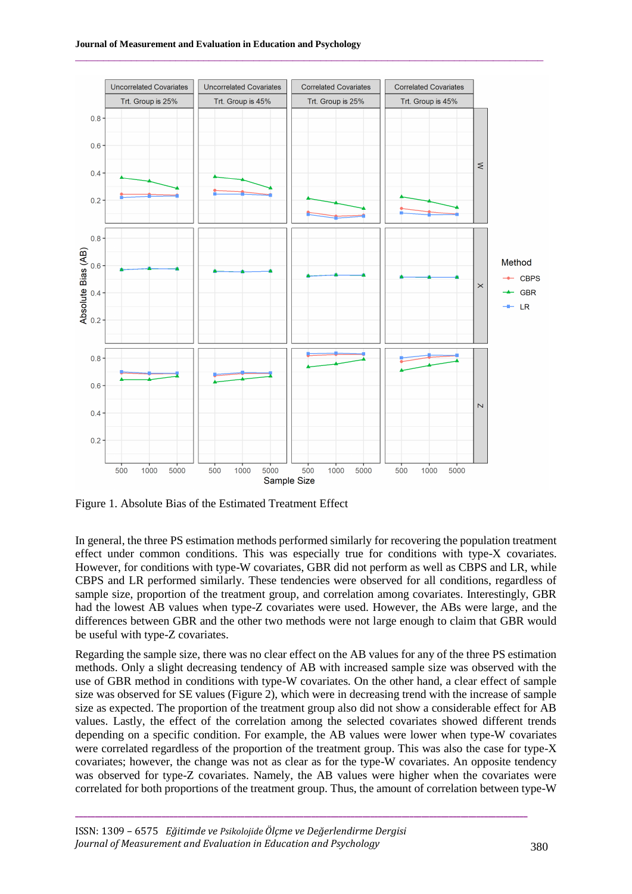

 $\mathcal{L}_\mathcal{L} = \{ \mathcal{L}_\mathcal{L} = \{ \mathcal{L}_\mathcal{L} = \{ \mathcal{L}_\mathcal{L} = \{ \mathcal{L}_\mathcal{L} = \{ \mathcal{L}_\mathcal{L} = \{ \mathcal{L}_\mathcal{L} = \{ \mathcal{L}_\mathcal{L} = \{ \mathcal{L}_\mathcal{L} = \{ \mathcal{L}_\mathcal{L} = \{ \mathcal{L}_\mathcal{L} = \{ \mathcal{L}_\mathcal{L} = \{ \mathcal{L}_\mathcal{L} = \{ \mathcal{L}_\mathcal{L} = \{ \mathcal{L}_\mathcal{$ 

Figure 1. Absolute Bias of the Estimated Treatment Effect

In general, the three PS estimation methods performed similarly for recovering the population treatment effect under common conditions. This was especially true for conditions with type-X covariates. However, for conditions with type-W covariates, GBR did not perform as well as CBPS and LR, while CBPS and LR performed similarly. These tendencies were observed for all conditions, regardless of sample size, proportion of the treatment group, and correlation among covariates. Interestingly, GBR had the lowest AB values when type-Z covariates were used. However, the ABs were large, and the differences between GBR and the other two methods were not large enough to claim that GBR would be useful with type-Z covariates.

Regarding the sample size, there was no clear effect on the AB values for any of the three PS estimation methods. Only a slight decreasing tendency of AB with increased sample size was observed with the use of GBR method in conditions with type-W covariates. On the other hand, a clear effect of sample size was observed for SE values (Figure 2), which were in decreasing trend with the increase of sample size as expected. The proportion of the treatment group also did not show a considerable effect for AB values. Lastly, the effect of the correlation among the selected covariates showed different trends depending on a specific condition. For example, the AB values were lower when type-W covariates were correlated regardless of the proportion of the treatment group. This was also the case for type-X covariates; however, the change was not as clear as for the type-W covariates. An opposite tendency was observed for type-Z covariates. Namely, the AB values were higher when the covariates were correlated for both proportions of the treatment group. Thus, the amount of correlation between type-W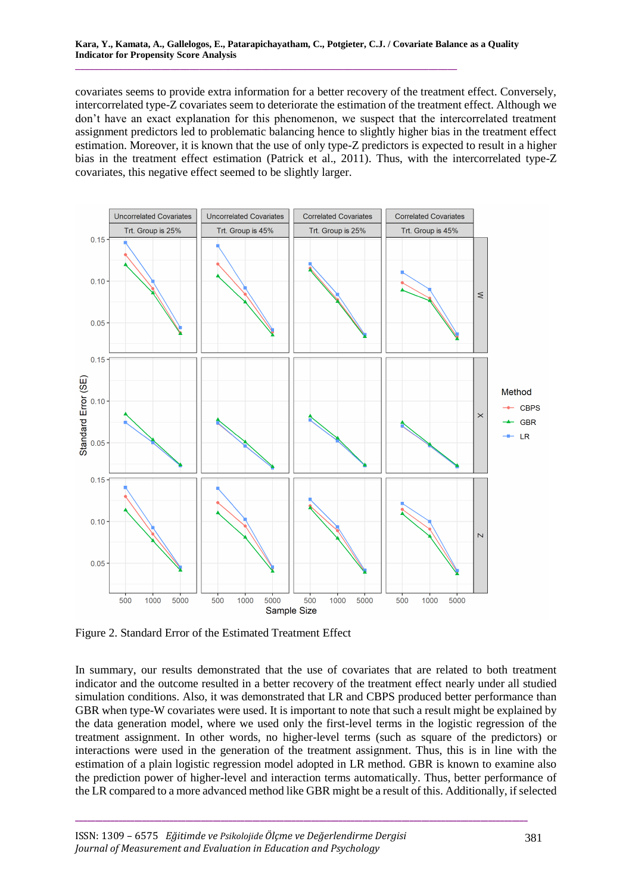covariates seems to provide extra information for a better recovery of the treatment effect. Conversely, intercorrelated type-Z covariates seem to deteriorate the estimation of the treatment effect. Although we don't have an exact explanation for this phenomenon, we suspect that the intercorrelated treatment assignment predictors led to problematic balancing hence to slightly higher bias in the treatment effect estimation. Moreover, it is known that the use of only type-Z predictors is expected to result in a higher bias in the treatment effect estimation (Patrick et al., 2011). Thus, with the intercorrelated type-Z covariates, this negative effect seemed to be slightly larger.



Figure 2. Standard Error of the Estimated Treatment Effect

In summary, our results demonstrated that the use of covariates that are related to both treatment indicator and the outcome resulted in a better recovery of the treatment effect nearly under all studied simulation conditions. Also, it was demonstrated that LR and CBPS produced better performance than GBR when type-W covariates were used. It is important to note that such a result might be explained by the data generation model, where we used only the first-level terms in the logistic regression of the treatment assignment. In other words, no higher-level terms (such as square of the predictors) or interactions were used in the generation of the treatment assignment. Thus, this is in line with the estimation of a plain logistic regression model adopted in LR method. GBR is known to examine also the prediction power of higher-level and interaction terms automatically. Thus, better performance of the LR compared to a more advanced method like GBR might be a result of this. Additionally, if selected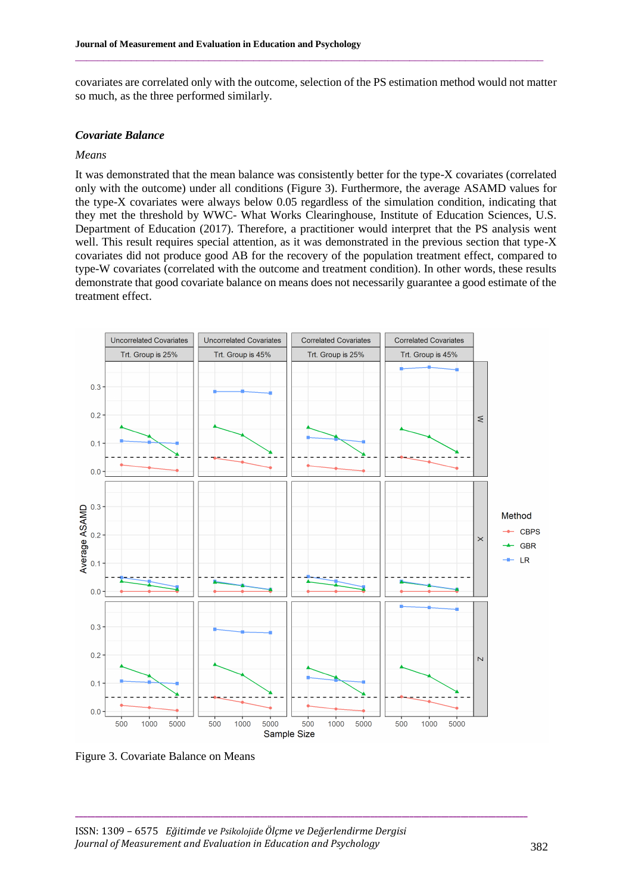covariates are correlated only with the outcome, selection of the PS estimation method would not matter so much, as the three performed similarly.

 $\mathcal{L}_\mathcal{L} = \{ \mathcal{L}_\mathcal{L} = \{ \mathcal{L}_\mathcal{L} = \{ \mathcal{L}_\mathcal{L} = \{ \mathcal{L}_\mathcal{L} = \{ \mathcal{L}_\mathcal{L} = \{ \mathcal{L}_\mathcal{L} = \{ \mathcal{L}_\mathcal{L} = \{ \mathcal{L}_\mathcal{L} = \{ \mathcal{L}_\mathcal{L} = \{ \mathcal{L}_\mathcal{L} = \{ \mathcal{L}_\mathcal{L} = \{ \mathcal{L}_\mathcal{L} = \{ \mathcal{L}_\mathcal{L} = \{ \mathcal{L}_\mathcal{$ 

#### *Covariate Balance*

#### *Means*

It was demonstrated that the mean balance was consistently better for the type-X covariates (correlated only with the outcome) under all conditions (Figure 3). Furthermore, the average ASAMD values for the type-X covariates were always below 0.05 regardless of the simulation condition, indicating that they met the threshold by WWC- What Works Clearinghouse, Institute of Education Sciences, U.S. Department of Education (2017). Therefore, a practitioner would interpret that the PS analysis went well. This result requires special attention, as it was demonstrated in the previous section that type-X covariates did not produce good AB for the recovery of the population treatment effect, compared to type-W covariates (correlated with the outcome and treatment condition). In other words, these results demonstrate that good covariate balance on means does not necessarily guarantee a good estimate of the treatment effect.



Figure 3. Covariate Balance on Means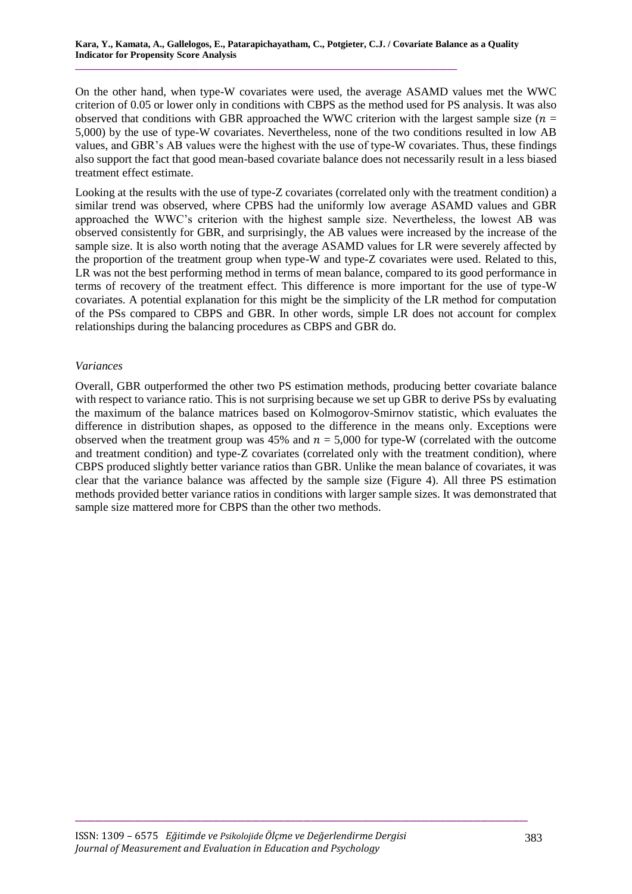On the other hand, when type-W covariates were used, the average ASAMD values met the WWC criterion of 0.05 or lower only in conditions with CBPS as the method used for PS analysis. It was also observed that conditions with GBR approached the WWC criterion with the largest sample size ( $n =$ 5,000) by the use of type-W covariates. Nevertheless, none of the two conditions resulted in low AB values, and GBR's AB values were the highest with the use of type-W covariates. Thus, these findings also support the fact that good mean-based covariate balance does not necessarily result in a less biased treatment effect estimate.

Looking at the results with the use of type-Z covariates (correlated only with the treatment condition) a similar trend was observed, where CPBS had the uniformly low average ASAMD values and GBR approached the WWC's criterion with the highest sample size. Nevertheless, the lowest AB was observed consistently for GBR, and surprisingly, the AB values were increased by the increase of the sample size. It is also worth noting that the average ASAMD values for LR were severely affected by the proportion of the treatment group when type-W and type-Z covariates were used. Related to this, LR was not the best performing method in terms of mean balance, compared to its good performance in terms of recovery of the treatment effect. This difference is more important for the use of type-W covariates. A potential explanation for this might be the simplicity of the LR method for computation of the PSs compared to CBPS and GBR. In other words, simple LR does not account for complex relationships during the balancing procedures as CBPS and GBR do.

#### *Variances*

Overall, GBR outperformed the other two PS estimation methods, producing better covariate balance with respect to variance ratio. This is not surprising because we set up GBR to derive PSs by evaluating the maximum of the balance matrices based on Kolmogorov-Smirnov statistic, which evaluates the difference in distribution shapes, as opposed to the difference in the means only. Exceptions were observed when the treatment group was 45% and  $n = 5,000$  for type-W (correlated with the outcome and treatment condition) and type-Z covariates (correlated only with the treatment condition), where CBPS produced slightly better variance ratios than GBR. Unlike the mean balance of covariates, it was clear that the variance balance was affected by the sample size (Figure 4). All three PS estimation methods provided better variance ratios in conditions with larger sample sizes. It was demonstrated that sample size mattered more for CBPS than the other two methods.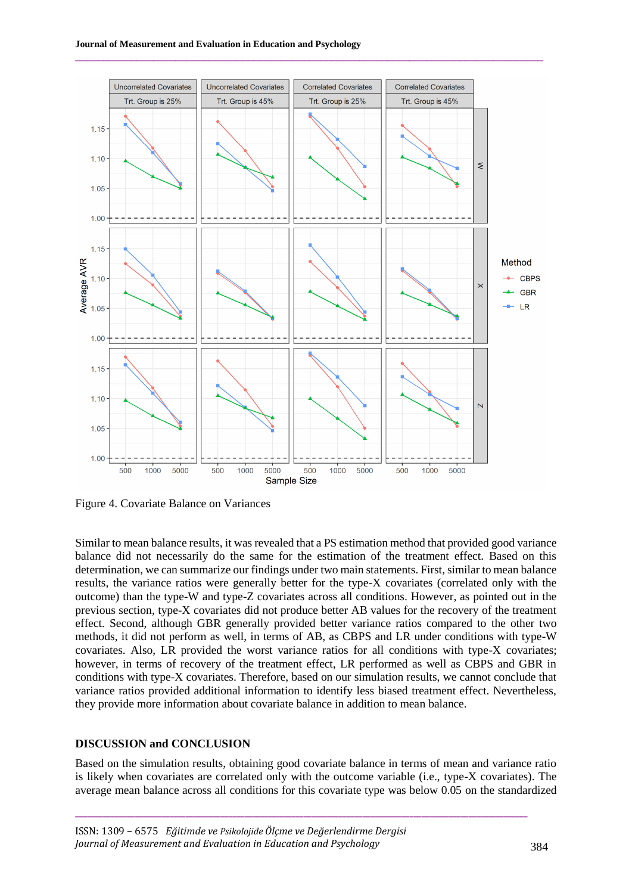

 $\mathcal{L}_\mathcal{L} = \{ \mathcal{L}_\mathcal{L} = \{ \mathcal{L}_\mathcal{L} = \{ \mathcal{L}_\mathcal{L} = \{ \mathcal{L}_\mathcal{L} = \{ \mathcal{L}_\mathcal{L} = \{ \mathcal{L}_\mathcal{L} = \{ \mathcal{L}_\mathcal{L} = \{ \mathcal{L}_\mathcal{L} = \{ \mathcal{L}_\mathcal{L} = \{ \mathcal{L}_\mathcal{L} = \{ \mathcal{L}_\mathcal{L} = \{ \mathcal{L}_\mathcal{L} = \{ \mathcal{L}_\mathcal{L} = \{ \mathcal{L}_\mathcal{$ 

Figure 4. Covariate Balance on Variances

Similar to mean balance results, it was revealed that a PS estimation method that provided good variance balance did not necessarily do the same for the estimation of the treatment effect. Based on this determination, we can summarize our findings under two main statements. First, similar to mean balance results, the variance ratios were generally better for the type-X covariates (correlated only with the outcome) than the type-W and type-Z covariates across all conditions. However, as pointed out in the previous section, type-X covariates did not produce better AB values for the recovery of the treatment effect. Second, although GBR generally provided better variance ratios compared to the other two methods, it did not perform as well, in terms of AB, as CBPS and LR under conditions with type-W covariates. Also, LR provided the worst variance ratios for all conditions with type-X covariates; however, in terms of recovery of the treatment effect, LR performed as well as CBPS and GBR in conditions with type-X covariates. Therefore, based on our simulation results, we cannot conclude that variance ratios provided additional information to identify less biased treatment effect. Nevertheless, they provide more information about covariate balance in addition to mean balance.

#### **DISCUSSION and CONCLUSION**

Based on the simulation results, obtaining good covariate balance in terms of mean and variance ratio is likely when covariates are correlated only with the outcome variable (i.e., type-X covariates). The average mean balance across all conditions for this covariate type was below 0.05 on the standardized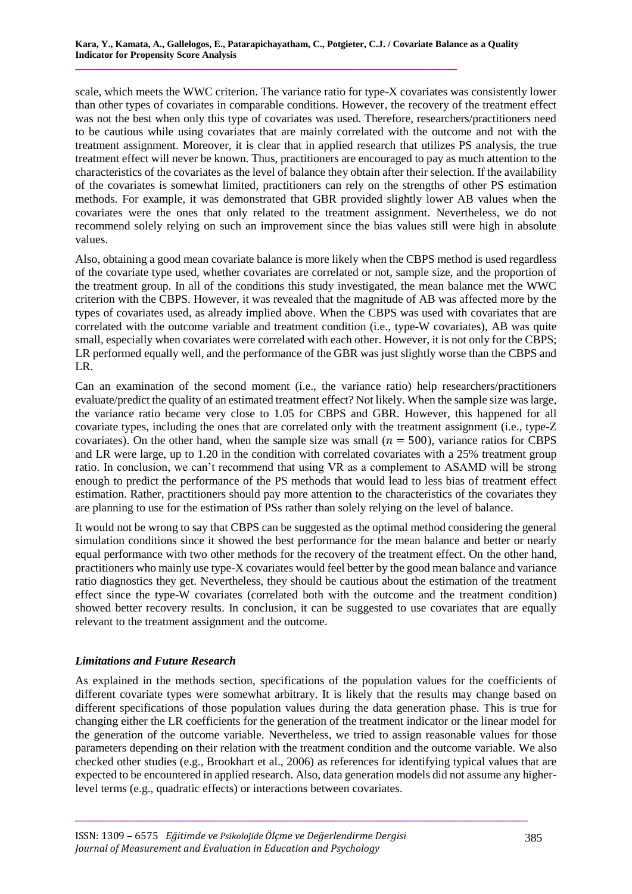scale, which meets the WWC criterion. The variance ratio for type-X covariates was consistently lower than other types of covariates in comparable conditions. However, the recovery of the treatment effect was not the best when only this type of covariates was used. Therefore, researchers/practitioners need to be cautious while using covariates that are mainly correlated with the outcome and not with the treatment assignment. Moreover, it is clear that in applied research that utilizes PS analysis, the true treatment effect will never be known. Thus, practitioners are encouraged to pay as much attention to the characteristics of the covariates as the level of balance they obtain after their selection. If the availability of the covariates is somewhat limited, practitioners can rely on the strengths of other PS estimation methods. For example, it was demonstrated that GBR provided slightly lower AB values when the covariates were the ones that only related to the treatment assignment. Nevertheless, we do not recommend solely relying on such an improvement since the bias values still were high in absolute values.

Also, obtaining a good mean covariate balance is more likely when the CBPS method is used regardless of the covariate type used, whether covariates are correlated or not, sample size, and the proportion of the treatment group. In all of the conditions this study investigated, the mean balance met the WWC criterion with the CBPS. However, it was revealed that the magnitude of AB was affected more by the types of covariates used, as already implied above. When the CBPS was used with covariates that are correlated with the outcome variable and treatment condition (i.e., type-W covariates), AB was quite small, especially when covariates were correlated with each other. However, it is not only for the CBPS; LR performed equally well, and the performance of the GBR was just slightly worse than the CBPS and LR.

Can an examination of the second moment (i.e., the variance ratio) help researchers/practitioners evaluate/predict the quality of an estimated treatment effect? Not likely. When the sample size was large, the variance ratio became very close to 1.05 for CBPS and GBR. However, this happened for all covariate types, including the ones that are correlated only with the treatment assignment (i.e., type-Z covariates). On the other hand, when the sample size was small ( $n = 500$ ), variance ratios for CBPS and LR were large, up to 1.20 in the condition with correlated covariates with a 25% treatment group ratio. In conclusion, we can't recommend that using VR as a complement to ASAMD will be strong enough to predict the performance of the PS methods that would lead to less bias of treatment effect estimation. Rather, practitioners should pay more attention to the characteristics of the covariates they are planning to use for the estimation of PSs rather than solely relying on the level of balance.

It would not be wrong to say that CBPS can be suggested as the optimal method considering the general simulation conditions since it showed the best performance for the mean balance and better or nearly equal performance with two other methods for the recovery of the treatment effect. On the other hand, practitioners who mainly use type-X covariates would feel better by the good mean balance and variance ratio diagnostics they get. Nevertheless, they should be cautious about the estimation of the treatment effect since the type-W covariates (correlated both with the outcome and the treatment condition) showed better recovery results. In conclusion, it can be suggested to use covariates that are equally relevant to the treatment assignment and the outcome.

# *Limitations and Future Research*

As explained in the methods section, specifications of the population values for the coefficients of different covariate types were somewhat arbitrary. It is likely that the results may change based on different specifications of those population values during the data generation phase. This is true for changing either the LR coefficients for the generation of the treatment indicator or the linear model for the generation of the outcome variable. Nevertheless, we tried to assign reasonable values for those parameters depending on their relation with the treatment condition and the outcome variable. We also checked other studies (e.g., Brookhart et al., 2006) as references for identifying typical values that are expected to be encountered in applied research. Also, data generation models did not assume any higherlevel terms (e.g., quadratic effects) or interactions between covariates.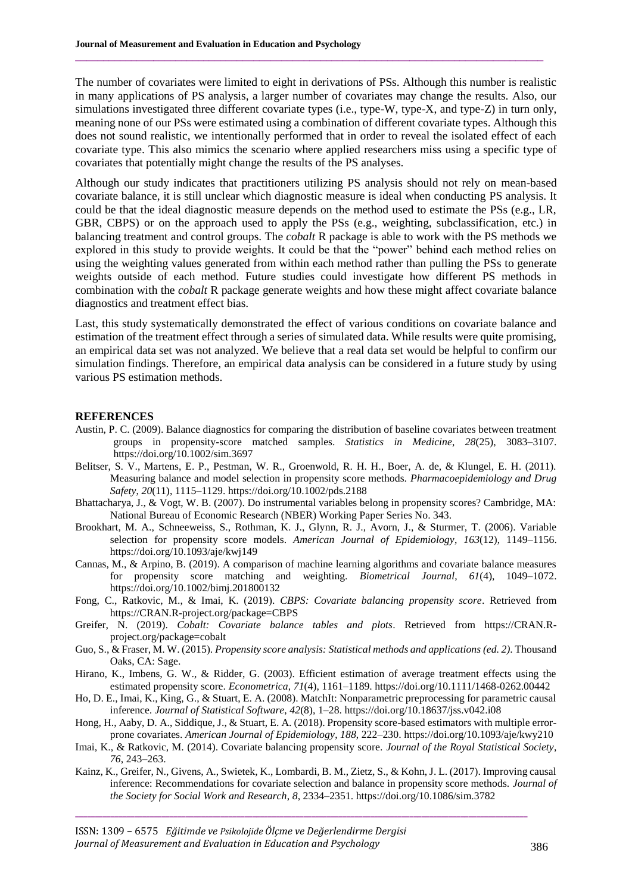The number of covariates were limited to eight in derivations of PSs. Although this number is realistic in many applications of PS analysis, a larger number of covariates may change the results. Also, our simulations investigated three different covariate types (i.e., type-W, type-X, and type-Z) in turn only, meaning none of our PSs were estimated using a combination of different covariate types. Although this does not sound realistic, we intentionally performed that in order to reveal the isolated effect of each covariate type. This also mimics the scenario where applied researchers miss using a specific type of covariates that potentially might change the results of the PS analyses.

 $\mathcal{L}_\mathcal{L} = \{ \mathcal{L}_\mathcal{L} = \{ \mathcal{L}_\mathcal{L} = \{ \mathcal{L}_\mathcal{L} = \{ \mathcal{L}_\mathcal{L} = \{ \mathcal{L}_\mathcal{L} = \{ \mathcal{L}_\mathcal{L} = \{ \mathcal{L}_\mathcal{L} = \{ \mathcal{L}_\mathcal{L} = \{ \mathcal{L}_\mathcal{L} = \{ \mathcal{L}_\mathcal{L} = \{ \mathcal{L}_\mathcal{L} = \{ \mathcal{L}_\mathcal{L} = \{ \mathcal{L}_\mathcal{L} = \{ \mathcal{L}_\mathcal{$ 

Although our study indicates that practitioners utilizing PS analysis should not rely on mean-based covariate balance, it is still unclear which diagnostic measure is ideal when conducting PS analysis. It could be that the ideal diagnostic measure depends on the method used to estimate the PSs (e.g., LR, GBR, CBPS) or on the approach used to apply the PSs (e.g., weighting, subclassification, etc.) in balancing treatment and control groups. The *cobalt* R package is able to work with the PS methods we explored in this study to provide weights. It could be that the "power" behind each method relies on using the weighting values generated from within each method rather than pulling the PSs to generate weights outside of each method. Future studies could investigate how different PS methods in combination with the *cobalt* R package generate weights and how these might affect covariate balance diagnostics and treatment effect bias.

Last, this study systematically demonstrated the effect of various conditions on covariate balance and estimation of the treatment effect through a series of simulated data. While results were quite promising, an empirical data set was not analyzed. We believe that a real data set would be helpful to confirm our simulation findings. Therefore, an empirical data analysis can be considered in a future study by using various PS estimation methods.

#### **REFERENCES**

- Austin, P. C. (2009). Balance diagnostics for comparing the distribution of baseline covariates between treatment groups in propensity-score matched samples. *Statistics in Medicine*, *28*(25), 3083–3107. <https://doi.org/10.1002/sim.3697>
- Belitser, S. V., Martens, E. P., Pestman, W. R., Groenwold, R. H. H., Boer, A. de, & Klungel, E. H. (2011). Measuring balance and model selection in propensity score methods. *Pharmacoepidemiology and Drug Safety*, *20*(11), 1115–1129.<https://doi.org/10.1002/pds.2188>
- Bhattacharya, J., & Vogt, W. B. (2007). Do instrumental variables belong in propensity scores? Cambridge, MA: National Bureau of Economic Research (NBER) Working Paper Series No. 343.
- Brookhart, M. A., Schneeweiss, S., Rothman, K. J., Glynn, R. J., Avorn, J., & Sturmer, T. (2006). Variable selection for propensity score models. *American Journal of Epidemiology*, *163*(12), 1149–1156. <https://doi.org/10.1093/aje/kwj149>
- Cannas, M., & Arpino, B. (2019). A comparison of machine learning algorithms and covariate balance measures for propensity score matching and weighting. *Biometrical Journal*, *61*(4), 1049–1072. <https://doi.org/10.1002/bimj.201800132>
- Fong, C., Ratkovic, M., & Imai, K. (2019). *CBPS: Covariate balancing propensity score*. Retrieved from [https://CRAN.R-project.org/package=CBPS](https://cran.r-project.org/package=CBPS)
- Greifer, N. (2019). *Cobalt: Covariate balance tables and plots*. Retrieved from [https://CRAN.R](https://cran.r-project.org/package=cobalt)[project.org/package=cobalt](https://cran.r-project.org/package=cobalt)
- Guo, S., & Fraser, M. W. (2015). *Propensity score analysis: Statistical methods and applications (ed. 2)*. Thousand Oaks, CA: Sage.
- Hirano, K., Imbens, G. W., & Ridder, G. (2003). Efficient estimation of average treatment effects using the estimated propensity score. *Econometrica*, *71*(4), 1161–1189.<https://doi.org/10.1111/1468-0262.00442>
- Ho, D. E., Imai, K., King, G., & Stuart, E. A. (2008). MatchIt: Nonparametric preprocessing for parametric causal inference. *Journal of Statistical Software*, *42*(8), 1–28. <https://doi.org/10.18637/jss.v042.i08>
- Hong, H., Aaby, D. A., Siddique, J., & Stuart, E. A. (2018). Propensity score-based estimators with multiple errorprone covariates. *American Journal of Epidemiology*, *188*, 222–230[. https://doi.org/10.1093/aje/kwy210](https://doi.org/10.1093/aje/kwy210)
- Imai, K., & Ratkovic, M. (2014). Covariate balancing propensity score. *Journal of the Royal Statistical Society*, *76*, 243–263.
- Kainz, K., Greifer, N., Givens, A., Swietek, K., Lombardi, B. M., Zietz, S., & Kohn, J. L. (2017). Improving causal inference: Recommendations for covariate selection and balance in propensity score methods. *Journal of the Society for Social Work and Research*, *8*, 2334–2351[. https://doi.org/10.1086/sim.3782](https://doi.org/10.1086/sim.3782)